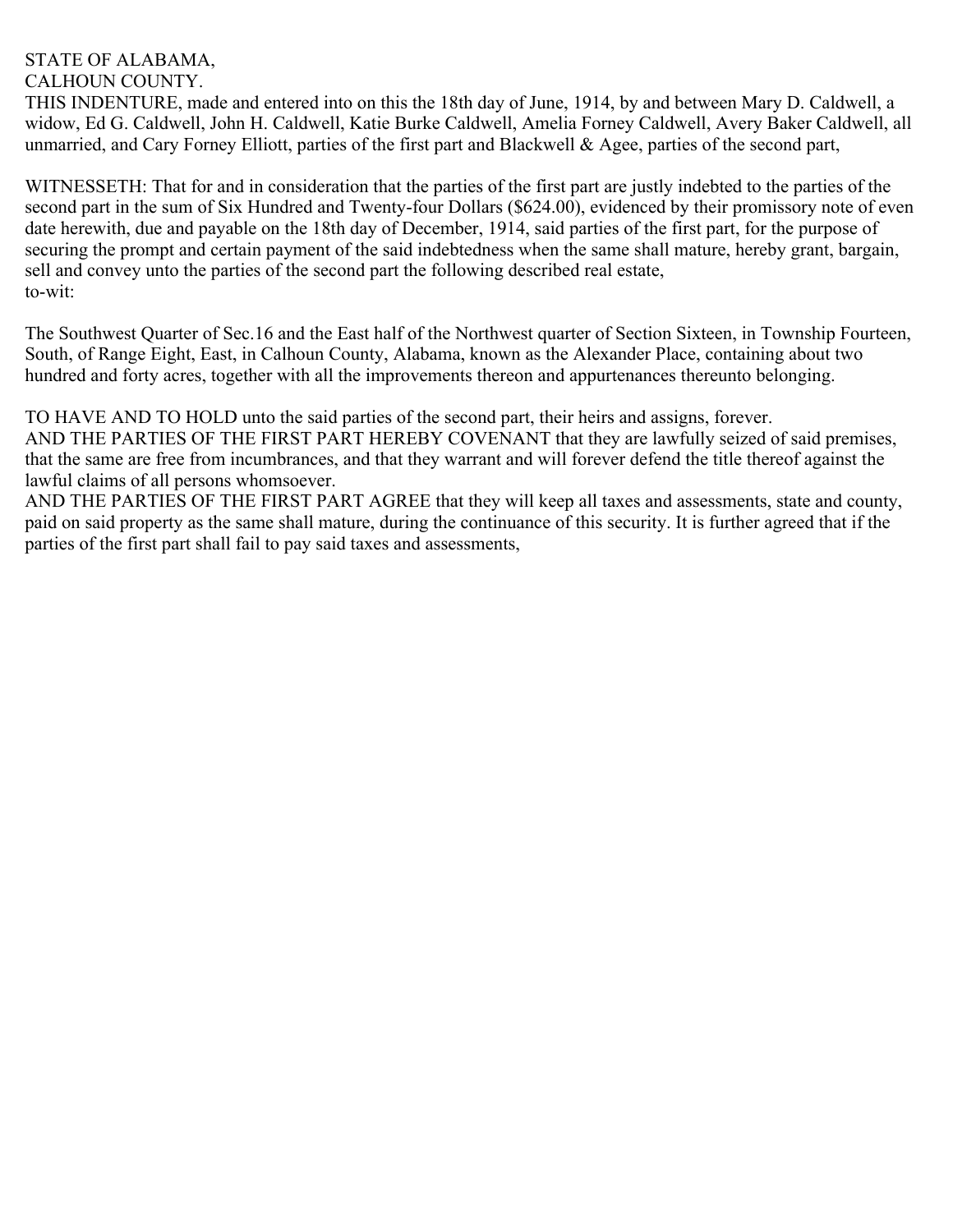## STATE OF ALABAMA,

CALHOUN COUNTY.

THIS INDENTURE, made and entered into on this the 18th day of June, 1914, by and between Mary D. Caldwell, a widow, Ed G. Caldwell, John H. Caldwell, Katie Burke Caldwell, Amelia Forney Caldwell, Avery Baker Caldwell, all unmarried, and Cary Forney Elliott, parties of the first part and Blackwell & Agee, parties of the second part,

WITNESSETH: That for and in consideration that the parties of the first part are justly indebted to the parties of the second part in the sum of Six Hundred and Twenty-four Dollars (\$624.00), evidenced by their promissory note of even date herewith, due and payable on the 18th day of December, 1914, said parties of the first part, for the purpose of securing the prompt and certain payment of the said indebtedness when the same shall mature, hereby grant, bargain, sell and convey unto the parties of the second part the following described real estate, to-wit:

The Southwest Quarter of Sec.16 and the East half of the Northwest quarter of Section Sixteen, in Township Fourteen, South, of Range Eight, East, in Calhoun County, Alabama, known as the Alexander Place, containing about two hundred and forty acres, together with all the improvements thereon and appurtenances thereunto belonging.

TO HAVE AND TO HOLD unto the said parties of the second part, their heirs and assigns, forever. AND THE PARTIES OF THE FIRST PART HEREBY COVENANT that they are lawfully seized of said premises, that the same are free from incumbrances, and that they warrant and will forever defend the title thereof against the lawful claims of all persons whomsoever.

AND THE PARTIES OF THE FIRST PART AGREE that they will keep all taxes and assessments, state and county, paid on said property as the same shall mature, during the continuance of this security. It is further agreed that if the parties of the first part shall fail to pay said taxes and assessments,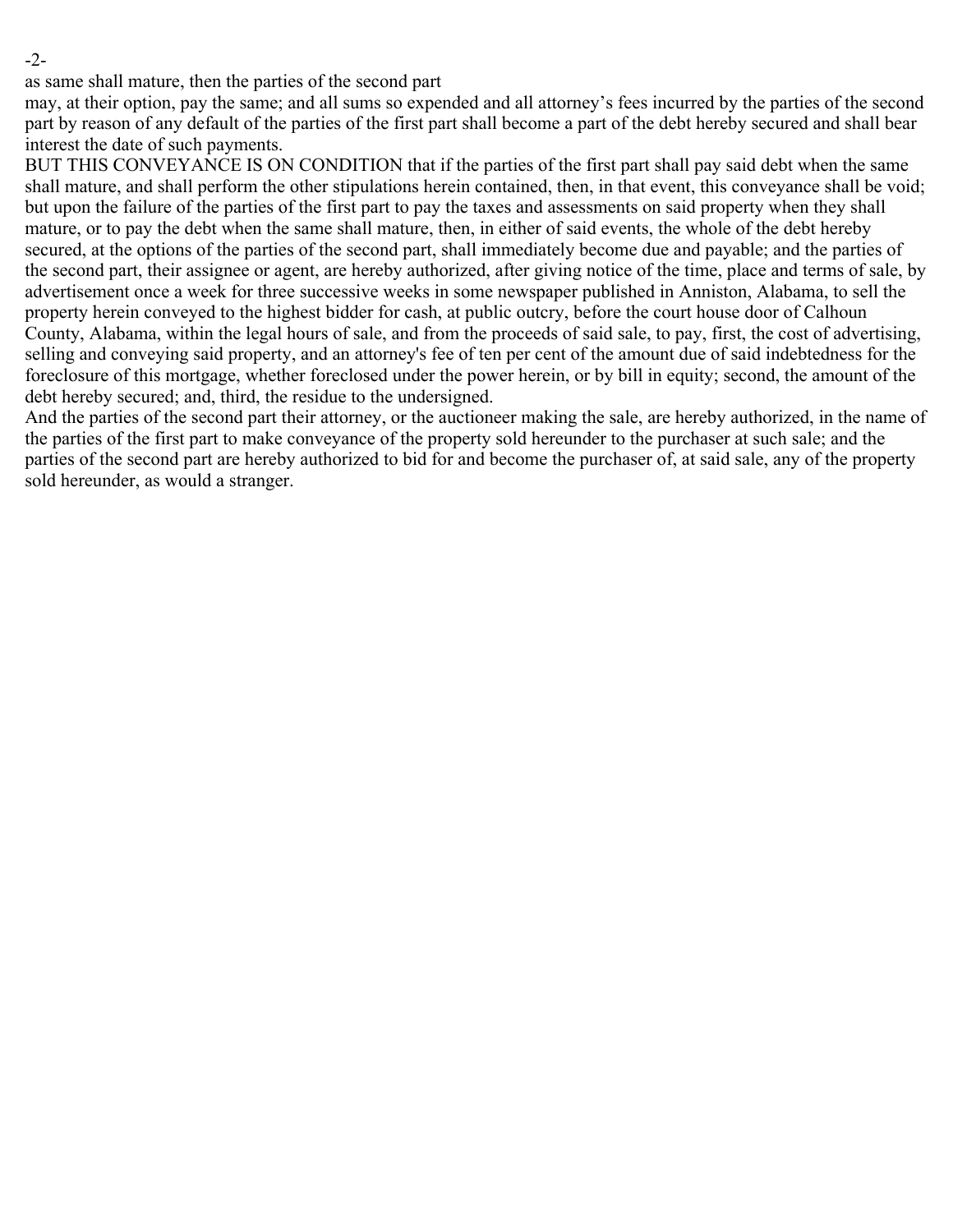-2-

as same shall mature, then the parties of the second part

may, at their option, pay the same; and all sums so expended and all attorney's fees incurred by the parties of the second part by reason of any default of the parties of the first part shall become a part of the debt hereby secured and shall bear interest the date of such payments.

BUT THIS CONVEYANCE IS ON CONDITION that if the parties of the first part shall pay said debt when the same shall mature, and shall perform the other stipulations herein contained, then, in that event, this conveyance shall be void; but upon the failure of the parties of the first part to pay the taxes and assessments on said property when they shall mature, or to pay the debt when the same shall mature, then, in either of said events, the whole of the debt hereby secured, at the options of the parties of the second part, shall immediately become due and payable; and the parties of the second part, their assignee or agent, are hereby authorized, after giving notice of the time, place and terms of sale, by advertisement once a week for three successive weeks in some newspaper published in Anniston, Alabama, to sell the property herein conveyed to the highest bidder for cash, at public outcry, before the court house door of Calhoun County, Alabama, within the legal hours of sale, and from the proceeds of said sale, to pay, first, the cost of advertising, selling and conveying said property, and an attorney's fee of ten per cent of the amount due of said indebtedness for the foreclosure of this mortgage, whether foreclosed under the power herein, or by bill in equity; second, the amount of the debt hereby secured; and, third, the residue to the undersigned.

And the parties of the second part their attorney, or the auctioneer making the sale, are hereby authorized, in the name of the parties of the first part to make conveyance of the property sold hereunder to the purchaser at such sale; and the parties of the second part are hereby authorized to bid for and become the purchaser of, at said sale, any of the property sold hereunder, as would a stranger.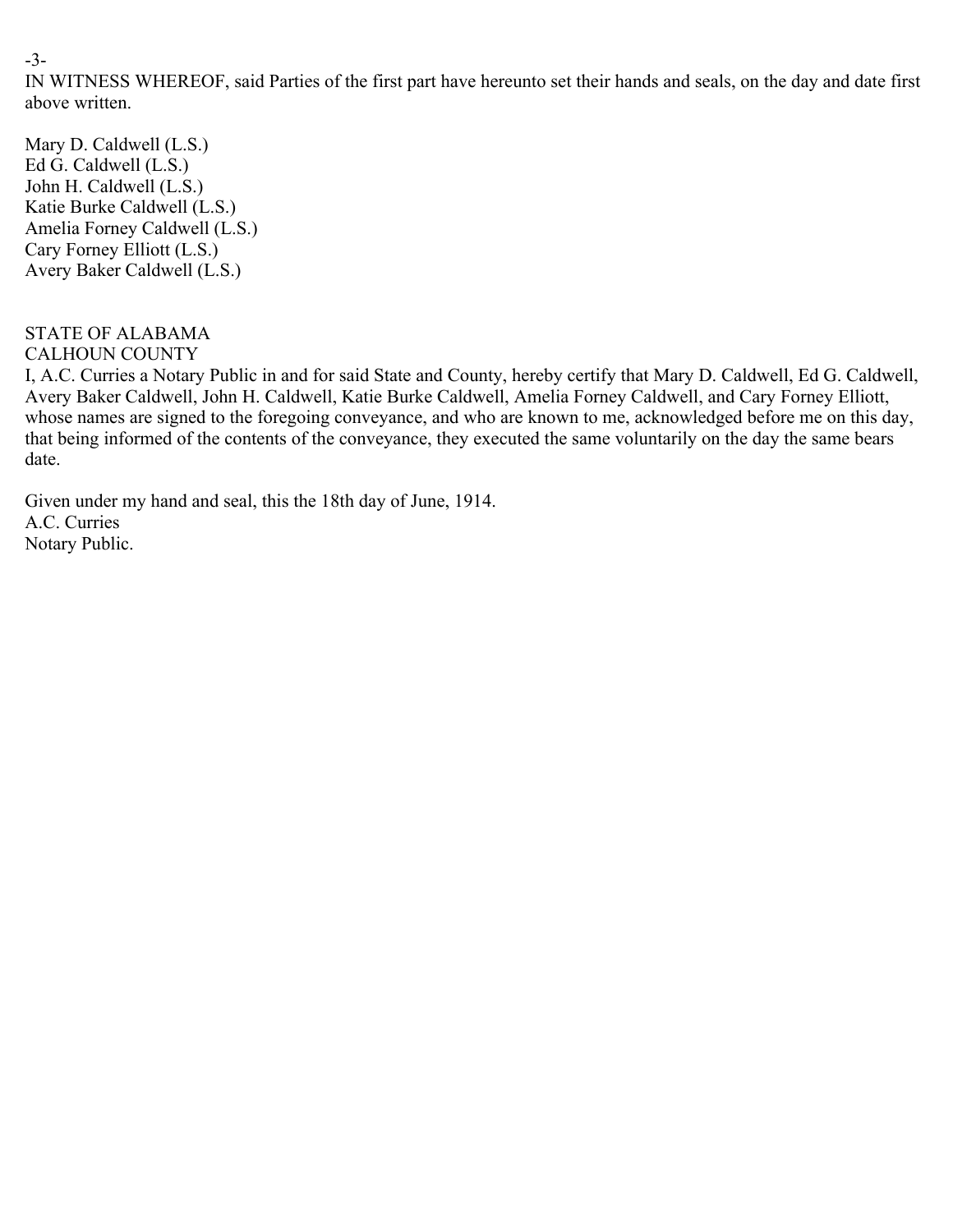-3-

IN WITNESS WHEREOF, said Parties of the first part have hereunto set their hands and seals, on the day and date first above written.

Mary D. Caldwell (L.S.) Ed G. Caldwell (L.S.) John H. Caldwell (L.S.) Katie Burke Caldwell (L.S.) Amelia Forney Caldwell (L.S.) Cary Forney Elliott (L.S.) Avery Baker Caldwell (L.S.)

## STATE OF ALABAMA CALHOUN COUNTY

I, A.C. Curries a Notary Public in and for said State and County, hereby certify that Mary D. Caldwell, Ed G. Caldwell, Avery Baker Caldwell, John H. Caldwell, Katie Burke Caldwell, Amelia Forney Caldwell, and Cary Forney Elliott, whose names are signed to the foregoing conveyance, and who are known to me, acknowledged before me on this day, that being informed of the contents of the conveyance, they executed the same voluntarily on the day the same bears date.

Given under my hand and seal, this the 18th day of June, 1914. A.C. Curries Notary Public.